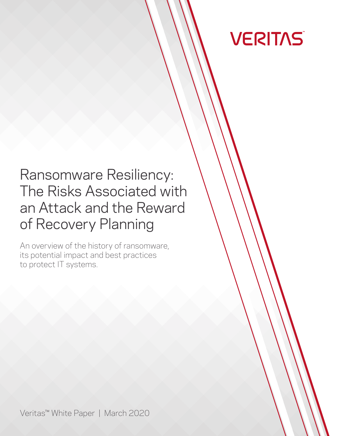

# Ransomware Resiliency: The Risks Associated with an Attack and the Reward of Recovery Planning

An overview of the history of ransomware, its potential impact and best practices to protect IT systems.

Veritas™ White Paper | March 2020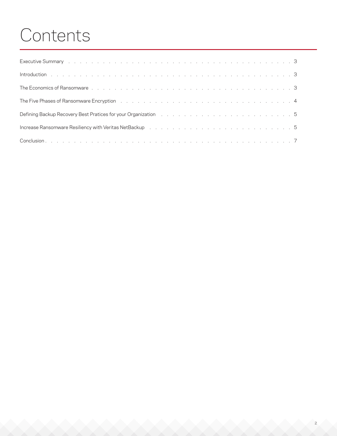# Contents

| Executive Summary research and contact the contract of the contract of the contract of the contract of the contract of the contract of the contract of the contract of the contract of the contract of the contract of the con |  |
|--------------------------------------------------------------------------------------------------------------------------------------------------------------------------------------------------------------------------------|--|
|                                                                                                                                                                                                                                |  |
|                                                                                                                                                                                                                                |  |
|                                                                                                                                                                                                                                |  |
| Defining Backup Recovery Best Pratices for your Organization (b) and (b) and (b) and (b) and (b) and (b) and (b) and (b) and (b) and (b) and (b) and (b) and (b) and (b) and (b) and (b) and (b) and (b) and (b) and (b) and ( |  |
|                                                                                                                                                                                                                                |  |
|                                                                                                                                                                                                                                |  |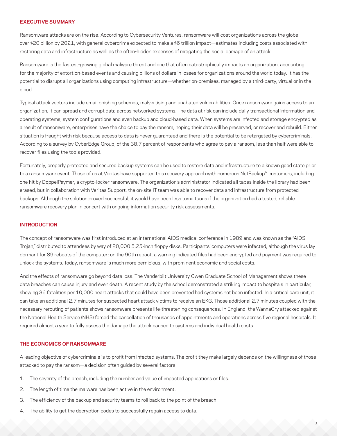#### <span id="page-2-0"></span>**EXECUTIVE SUMMARY**

Ransomware attacks are on the rise. According to Cybersecurity Ventures, ransomware will cost organizations across the globe over \$20 billion by 2021, with general cybercrime expected to make a \$6 trillion impact—estimates including costs associated with restoring data and infrastructure as well as the often-hidden expenses of mitigating the social damage of an attack.

Ransomware is the fastest-growing global malware threat and one that often catastrophically impacts an organization, accounting for the majority of extortion-based events and causing billions of dollars in losses for organizations around the world today. It has the potential to disrupt all organizations using computing infrastructure—whether on-premises, managed by a third-party, virtual or in the cloud.

Typical attack vectors include email phishing schemes, malvertising and unabated vulnerabilities. Once ransomware gains access to an organization, it can spread and corrupt data across networked systems. The data at risk can include daily transactional information and operating systems, system configurations and even backup and cloud-based data. When systems are infected and storage encrypted as a result of ransomware, enterprises have the choice to pay the ransom, hoping their data will be preserved, or recover and rebuild. Either situation is fraught with risk because access to data is never guaranteed and there is the potential to be retargeted by cybercriminals. According to a survey by CyberEdge Group, of the 38.7 percent of respondents who agree to pay a ransom, less than half were able to recover files using the tools provided.

Fortunately, properly protected and secured backup systems can be used to restore data and infrastructure to a known good state prior to a ransomware event. Those of us at Veritas have supported this recovery approach with numerous NetBackup™ customers, including one hit by DoppelPaymer, a crypto-locker ransomware. The organization's administrator indicated all tapes inside the library had been erased, but in collaboration with Veritas Support, the on-site IT team was able to recover data and infrastructure from protected backups. Although the solution proved successful, it would have been less tumultuous if the organization had a tested, reliable ransomware recovery plan in concert with ongoing information security risk assessments.

#### **INTRODUCTION**

The concept of ransomware was first introduced at an international AIDS medical conference in 1989 and was known as the "AIDS Trojan," distributed to attendees by way of 20,000 5.25-inch floppy disks. Participants' computers were infected, although the virus lay dormant for 89 reboots of the computer; on the 90th reboot, a warning indicated files had been encrypted and payment was required to unlock the systems. Today, ransomware is much more pernicious, with prominent economic and social costs.

And the effects of ransomware go beyond data loss. The Vanderbilt University Owen Graduate School of Management shows these data breaches can cause injury and even death. A recent study by the school demonstrated a striking impact to hospitals in particular, showing 36 fatalities per 10,000 heart attacks that could have been prevented had systems not been infected. In a critical care unit, it can take an additional 2.7 minutes for suspected heart attack victims to receive an EKG. Those additional 2.7 minutes coupled with the necessary rerouting of patients shows ransomware presents life-threatening consequences. In England, the WannaCry attacked against the National Health Service (NHS) forced the cancellation of thousands of appointments and operations across five regional hospitals. It required almost a year to fully assess the damage the attack caused to systems and individual health costs.

## **THE ECONOMICS OF RANSOMWARE**

A leading objective of cybercriminals is to profit from infected systems. The profit they make largely depends on the willingness of those attacked to pay the ransom—a decision often guided by several factors:

- 1. The severity of the breach, including the number and value of impacted applications or files.
- 2. The length of time the malware has been active in the environment.
- 3. The efficiency of the backup and security teams to roll back to the point of the breach.
- 4. The ability to get the decryption codes to successfully regain access to data.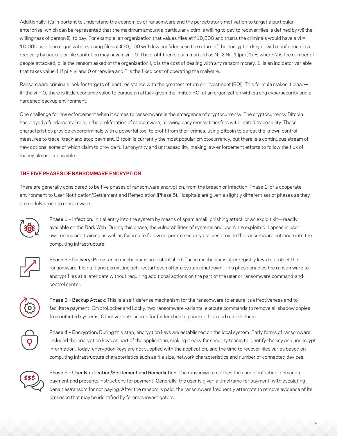<span id="page-3-0"></span>Additionally, it's important to understand the economics of ransomware and the perpetrator's motivation to target a particular enterprise, which can be represented that the maximum amount a particular victim is willing to pay to recover files is defined by (vi) the willingness of person (i), to pay. For example, an organization that values files at \$10,000 and trusts the criminals would have a vi = 10,000, while an organization valuing files at \$20,000 with low confidence in the return of the encryption key or with confidence in a recovery by backup or file sanitation may have a vi = 0. The profit then be summarized as N=∑ Ni=1 (pi-c)1i-F, where N is the number of people attacked, pi is the ransom asked of the organization I, c is the cost of dealing with any ransom money, 1i is an indicator variable that takes value 1 if  $pi \leq v$ i and 0 otherwise and F is the fixed cost of operating the malware.

Ransomware criminals look for targets of least resistance with the greatest return on investment (ROI). This formula makes it clear-: ilf the vi = 0, there is little economic value to pursue an attack given the limited ROI of an organization with strong cybersecurity and a hardened backup environment.

One challenge for law enforcement when it comes to ransomware is the emergence of cryptocurrency. The cryptocurrency Bitcoin has played a fundamental role in the proliferation of ransomware, allowing easy money transfers with limited traceability. These characteristics provide cybercriminals with a powerful tool to profit from their crimes, using Bitcoin to defeat the known control measures to trace, track and stop payment. Bitcoin is currently the most popular cryptocurrency, but there is a continuous stream of new options, some of which claim to provide full anonymity and untraceability, making law enforcement efforts to follow the flux of money almost impossible.

# **THE FIVE PHASES OF RANSOMWARE ENCRYPTION**

There are generally considered to be five phases of ransomware encryption, from the breach or Infection (Phase 1) of a cooperate environment to User Notification/Settlement and Remediation (Phase 5). Hospitals are given a slightly different set of phases as they are unduly prone to ransomware.



Phase 1 - Infection: Initial entry into the system by means of spam email, phishing attack or an exploit kit—readily available on the Dark Web. During this phase, the vulnerabilities of systems and users are exploited. Lapses in user awareness and training as well as failures to follow corporate security policies provide the ransomware entrance into the computing infrastructure.



Phase 2 - Delivery: Persistence mechanisms are established. These mechanisms alter registry keys to protect the ransomware, hiding it and permitting self-restart even after a system shutdown. This phase enables the ransomware to encrypt files at a later date without requiring additional actions on the part of the user or ransomware command-andcontrol center.



Phase 3 – Backup Attack: This is a self-defense mechanism for the ransomware to ensure its effectiveness and to facilitate payment. CryptoLocker and Locky, two ransomware variants, execute commands to remove all shadow copies from infected systems. Other variants search for folders holding backup files and remove them.



Phase 4 - Encryption: During this step, encryption keys are established on the local system. Early forms of ransomware included the encryption keys as part of the application, making it easy for security teams to identify the key and unencrypt information. Today, encryption keys are not supplied with the application, and the time to recover files varies based on computing infrastructure characteristics such as file size, network characteristics and number of connected devices.



Phase 5 – User Notification/Settlement and Remediation: The ransomware notifies the user of infection, demands payment and presents instructions for payment. Generally, the user is given a timeframe for payment, with escalating penalties/ransom for not paying. After the ransom is paid, the ransomware frequently attempts to remove evidence of its presence that may be identified by forensic investigators.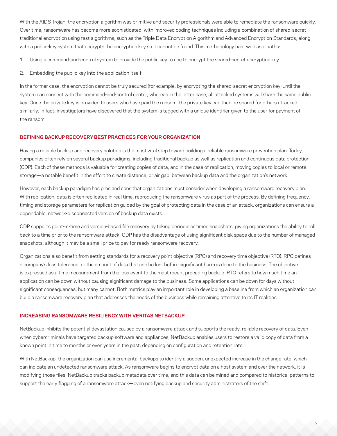<span id="page-4-0"></span>With the AIDS Trojan, the encryption algorithm was primitive and security professionals were able to remediate the ransomware quickly. Over time, ransomware has become more sophisticated, with improved coding techniques including a combination of shared-secret traditional encryption using fast algorithms, such as the Triple Data Encryption Algorithm and Advanced Encryption Standards, along with a public-key system that encrypts the encryption key so it cannot be found. This methodology has two basic paths:

1. Using a command-and-control system to provide the public key to use to encrypt the shared-secret encryption key.

2. Embedding the public key into the application itself.

In the former case, the encryption cannot be truly secured (for example, by encrypting the shared-secret encryption key) until the system can connect with the command-and-control center, whereas in the latter case, all attacked systems will share the same public key. Once the private key is provided to users who have paid the ransom, the private key can then be shared for others attacked similarly. In fact, investigators have discovered that the system is tagged with a unique identifier given to the user for payment of the ransom.

# **DEFINING BACKUP RECOVERY BEST PRACTICES FOR YOUR ORGANIZATION**

Having a reliable backup and recovery solution is the most vital step toward building a reliable ransomware prevention plan. Today, companies often rely on several backup paradigms, including traditional backup as well as replication and continuous data protection (CDP). Each of these methods is valuable for creating copies of data, and in the case of replication, moving copies to local or remote storage—a notable benefit in the effort to create distance, or air gap, between backup data and the organization's network.

However, each backup paradigm has pros and cons that organizations must consider when developing a ransomware recovery plan. With replication, data is often replicated in real time, reproducing the ransomware virus as part of the process. By defining frequency, timing and storage parameters for replication guided by the goal of protecting data in the case of an attack, organizations can ensure a dependable, network-disconnected version of backup data exists.

CDP supports point-in-time and version-based file recovery by taking periodic or timed snapshots, giving organizations the ability to roll back to a time prior to the ransomware attack. CDP has the disadvantage of using significant disk space due to the number of managed snapshots, although it may be a small price to pay for ready ransomware recovery.

Organizations also benefit from setting standards for a recovery point objective (RPO) and recovery time objective (RTO). RPO defines a company's loss tolerance, or the amount of data that can be lost before significant harm is done to the business. The objective is expressed as a time measurement from the loss event to the most recent preceding backup. RTO refers to how much time an application can be down without causing significant damage to the business. Some applications can be down for days without significant consequences, but many cannot. Both metrics play an important role in developing a baseline from which an organization can build a ransomware recovery plan that addresses the needs of the business while remaining attentive to its IT realities.

# **INCREASING RANSOMWARE RESILIENCY WITH VERITAS NETBACKUP**

NetBackup inhibits the potential devastation caused by a ransomware attack and supports the ready, reliable recovery of data. Even when cybercriminals have targeted backup software and appliances, NetBackup enables users to restore a valid copy of data from a known point in time to months or even years in the past, depending on configuration and retention rate.

With NetBackup, the organization can use incremental backups to identify a sudden, unexpected increase in the change rate, which can indicate an undetected ransomware attack. As ransomware begins to encrypt data on a host system and over the network, it is modifying those files. NetBackup tracks backup metadata over time, and this data can be mined and compared to historical patterns to support the early flagging of a ransomware attack—even notifying backup and security administrators of the shift.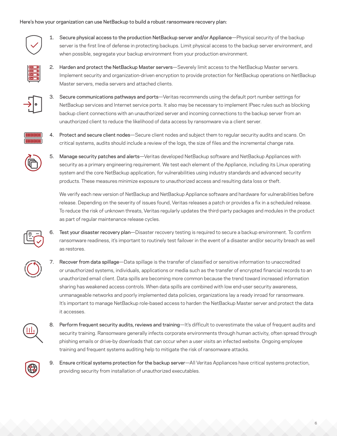# Here's how your organization can use NetBackup to build a robust ransomware recovery plan:



1. Secure physical access to the production NetBackup server and/or Appliance—Physical security of the backup server is the first line of defense in protecting backups. Limit physical access to the backup server environment, and when possible, segregate your backup environment from your production environment.



2. Harden and protect the NetBackup Master servers—Severely limit access to the NetBackup Master servers. Implement security and organization-driven encryption to provide protection for NetBackup operations on NetBackup Master servers, media servers and attached clients.



3. Secure communications pathways and ports—Veritas recommends using the default port number settings for NetBackup services and Internet service ports. It also may be necessary to implement IPsec rules such as blocking backup client connections with an unauthorized server and incoming connections to the backup server from an unauthorized client to reduce the likelihood of data access by ransomware via a client server.



4. Protect and secure client nodes—Secure client nodes and subject them to regular security audits and scans. On critical systems, audits should include a review of the logs, the size of files and the incremental change rate.

5. Manage security patches and alerts—Veritas developed NetBackup software and NetBackup Appliances with security as a primary engineering requirement. We test each element of the Appliance, including its Linux operating system and the core NetBackup application, for vulnerabilities using industry standards and advanced security products. These measures minimize exposure to unauthorized access and resulting data loss or theft.

We verify each new version of NetBackup and NetBackup Appliance software and hardware for vulnerabilities before release. Depending on the severity of issues found, Veritas releases a patch or provides a fix in a scheduled release. To reduce the risk of unknown threats, Veritas regularly updates the third-party packages and modules in the product as part of regular maintenance release cycles.

Test your disaster recovery plan—Disaster recovery testing is required to secure a backup environment. To confirm ransomware readiness, it's important to routinely test failover in the event of a disaster and/or security breach as well as restores.

7. Recover from data spillage—Data spillage is the transfer of classified or sensitive information to unaccredited or unauthorized systems, individuals, applications or media such as the transfer of encrypted financial records to an unauthorized email client. Data spills are becoming more common because the trend toward increased information sharing has weakened access controls. When data spills are combined with low end-user security awareness, unmanageable networks and poorly implemented data policies, organizations lay a ready inroad for ransomware. It's important to manage NetBackup role-based access to harden the NetBackup Master server and protect the data it accesses.

8. Perform frequent security audits, reviews and training-It's difficult to overestimate the value of frequent audits and security training. Ransomware generally infects corporate environments through human activity, often spread through phishing emails or drive-by downloads that can occur when a user visits an infected website. Ongoing employee training and frequent systems auditing help to mitigate the risk of ransomware attacks.



9. Ensure critical systems protection for the backup server—All Veritas Appliances have critical systems protection, providing security from installation of unauthorized executables.